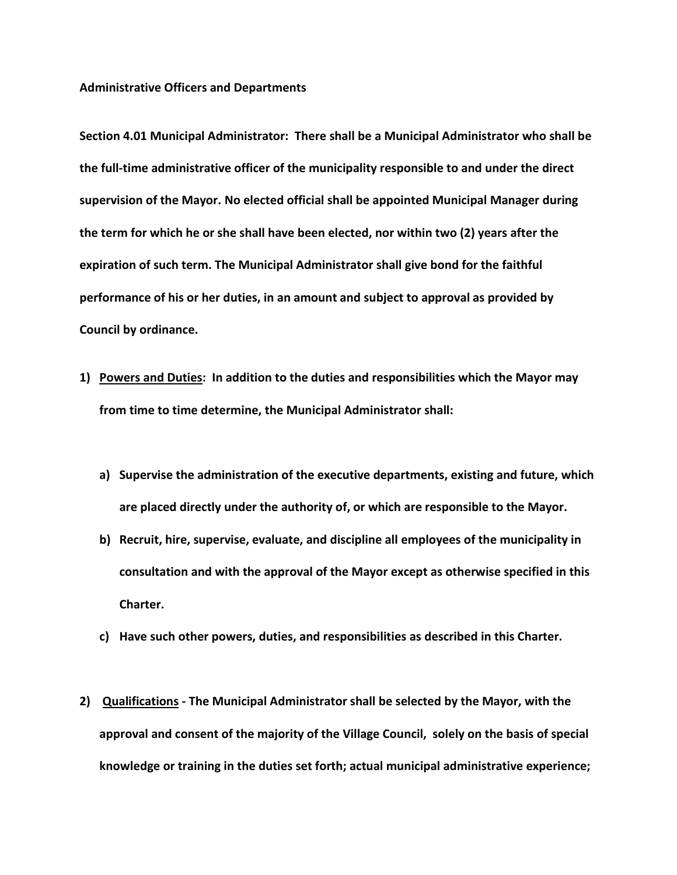## **Administrative Officers and Departments**

**Section 4.01 Municipal Administrator: There shall be a Municipal Administrator who shall be the full-time administrative officer of the municipality responsible to and under the direct supervision of the Mayor. No elected official shall be appointed Municipal Manager during the term for which he or she shall have been elected, nor within two (2) years after the expiration of such term. The Municipal Administrator shall give bond for the faithful performance of his or her duties, in an amount and subject to approval as provided by Council by ordinance.**

- **1) Powers and Duties: In addition to the duties and responsibilities which the Mayor may from time to time determine, the Municipal Administrator shall:**
	- **a) Supervise the administration of the executive departments, existing and future, which are placed directly under the authority of, or which are responsible to the Mayor.**
	- **b) Recruit, hire, supervise, evaluate, and discipline all employees of the municipality in consultation and with the approval of the Mayor except as otherwise specified in this Charter.**
	- **c) Have such other powers, duties, and responsibilities as described in this Charter.**
- **2) Qualifications - The Municipal Administrator shall be selected by the Mayor, with the approval and consent of the majority of the Village Council, solely on the basis of special knowledge or training in the duties set forth; actual municipal administrative experience;**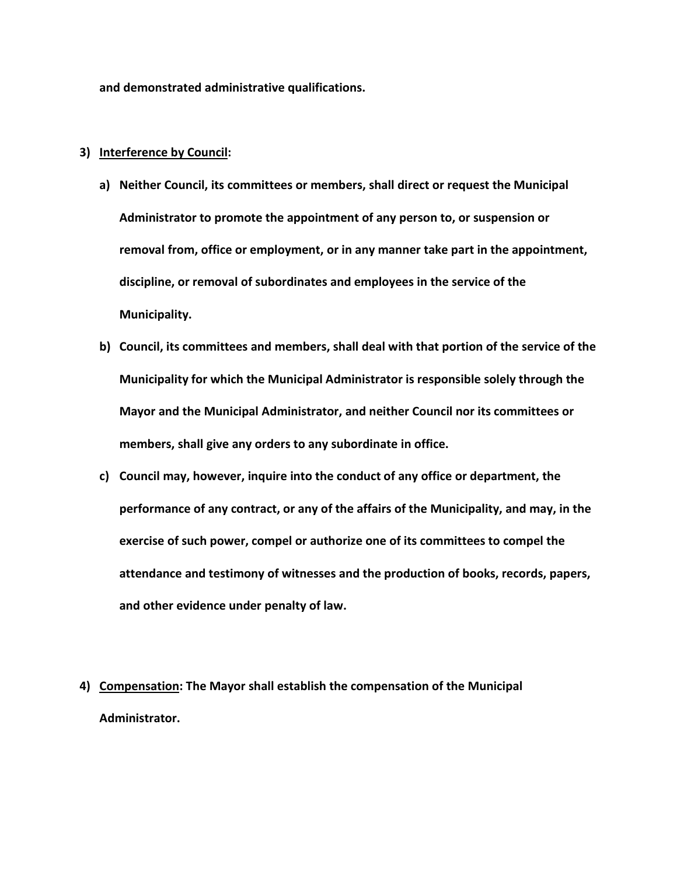**and demonstrated administrative qualifications.**

## **3) Interference by Council:**

- **a) Neither Council, its committees or members, shall direct or request the Municipal Administrator to promote the appointment of any person to, or suspension or removal from, office or employment, or in any manner take part in the appointment, discipline, or removal of subordinates and employees in the service of the Municipality.**
- **b) Council, its committees and members, shall deal with that portion of the service of the Municipality for which the Municipal Administrator is responsible solely through the Mayor and the Municipal Administrator, and neither Council nor its committees or members, shall give any orders to any subordinate in office.**
- **c) Council may, however, inquire into the conduct of any office or department, the performance of any contract, or any of the affairs of the Municipality, and may, in the exercise of such power, compel or authorize one of its committees to compel the attendance and testimony of witnesses and the production of books, records, papers, and other evidence under penalty of law.**
- **4) Compensation: The Mayor shall establish the compensation of the Municipal Administrator.**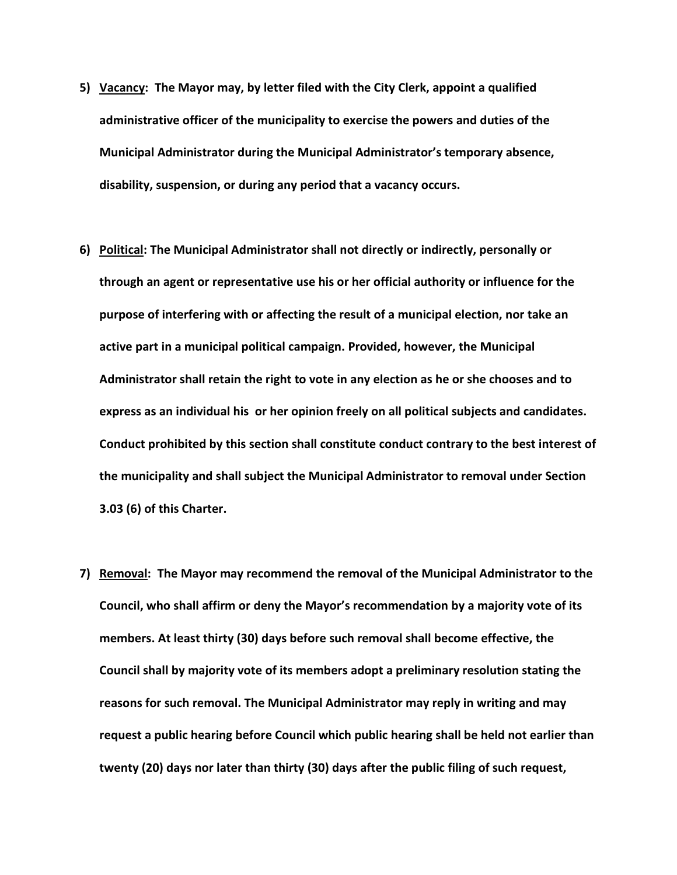- **5) Vacancy: The Mayor may, by letter filed with the City Clerk, appoint a qualified administrative officer of the municipality to exercise the powers and duties of the Municipal Administrator during the Municipal Administrator's temporary absence, disability, suspension, or during any period that a vacancy occurs.**
- **6) Political: The Municipal Administrator shall not directly or indirectly, personally or through an agent or representative use his or her official authority or influence for the purpose of interfering with or affecting the result of a municipal election, nor take an active part in a municipal political campaign. Provided, however, the Municipal Administrator shall retain the right to vote in any election as he or she chooses and to express as an individual his or her opinion freely on all political subjects and candidates. Conduct prohibited by this section shall constitute conduct contrary to the best interest of the municipality and shall subject the Municipal Administrator to removal under Section 3.03 (6) of this Charter.**
- **7) Removal: The Mayor may recommend the removal of the Municipal Administrator to the Council, who shall affirm or deny the Mayor's recommendation by a majority vote of its members. At least thirty (30) days before such removal shall become effective, the Council shall by majority vote of its members adopt a preliminary resolution stating the reasons for such removal. The Municipal Administrator may reply in writing and may request a public hearing before Council which public hearing shall be held not earlier than twenty (20) days nor later than thirty (30) days after the public filing of such request,**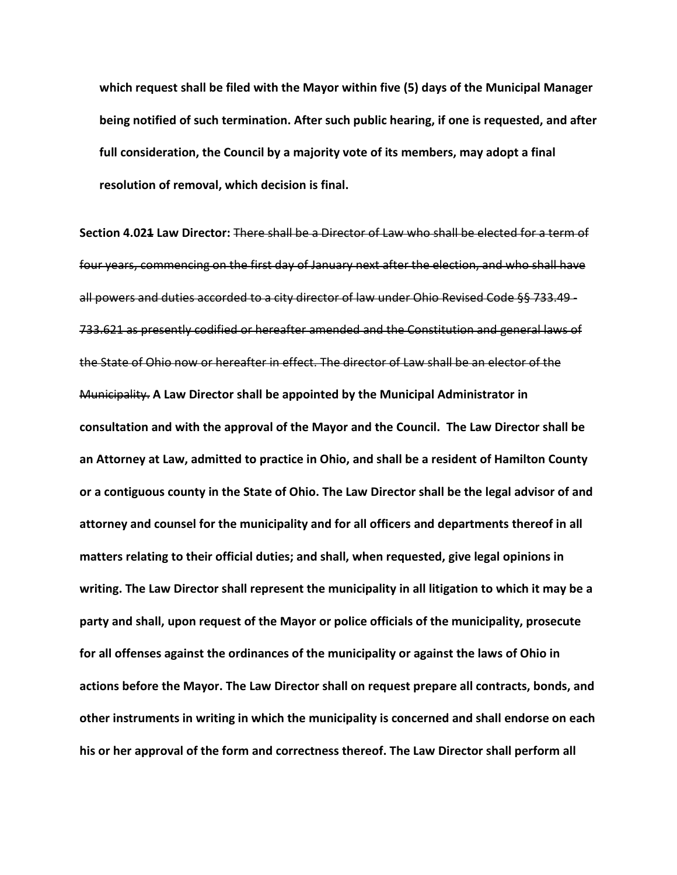**which request shall be filed with the Mayor within five (5) days of the Municipal Manager being notified of such termination. After such public hearing, if one is requested, and after full consideration, the Council by a majority vote of its members, may adopt a final resolution of removal, which decision is final.**

**Section 4.021 Law Director:** There shall be a Director of Law who shall be elected for a term of four years, commencing on the first day of January next after the election, and who shall have all powers and duties accorded to a city director of law under Ohio Revised Code §§ 733.49 - 733.621 as presently codified or hereafter amended and the Constitution and general laws of the State of Ohio now or hereafter in effect. The director of Law shall be an elector of the Municipality. **A Law Director shall be appointed by the Municipal Administrator in consultation and with the approval of the Mayor and the Council. The Law Director shall be an Attorney at Law, admitted to practice in Ohio, and shall be a resident of Hamilton County or a contiguous county in the State of Ohio. The Law Director shall be the legal advisor of and attorney and counsel for the municipality and for all officers and departments thereof in all matters relating to their official duties; and shall, when requested, give legal opinions in writing. The Law Director shall represent the municipality in all litigation to which it may be a party and shall, upon request of the Mayor or police officials of the municipality, prosecute for all offenses against the ordinances of the municipality or against the laws of Ohio in actions before the Mayor. The Law Director shall on request prepare all contracts, bonds, and other instruments in writing in which the municipality is concerned and shall endorse on each his or her approval of the form and correctness thereof. The Law Director shall perform all**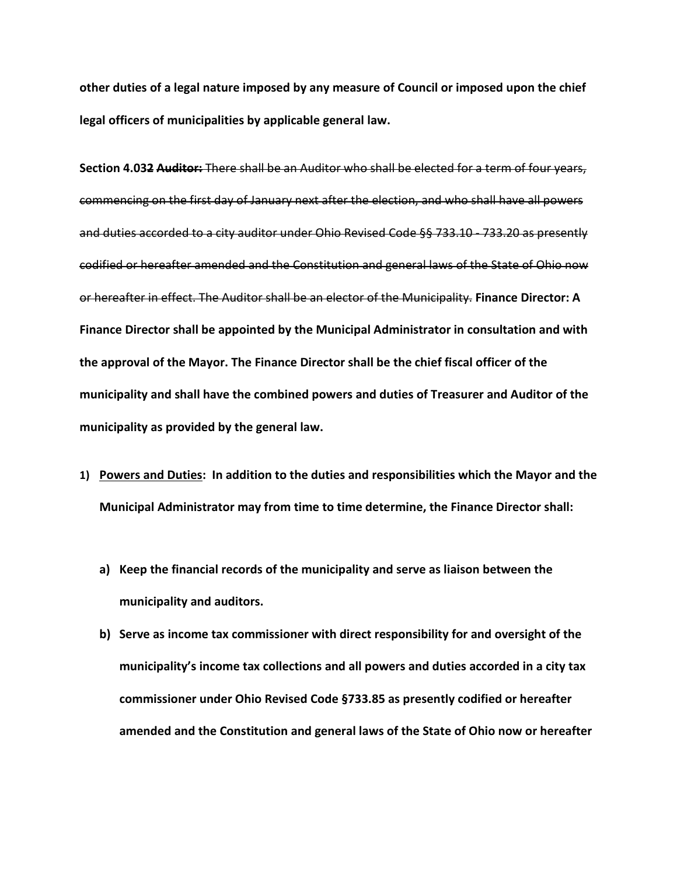**other duties of a legal nature imposed by any measure of Council or imposed upon the chief legal officers of municipalities by applicable general law.** 

**Section 4.032 Auditor:** There shall be an Auditor who shall be elected for a term of four years, commencing on the first day of January next after the election, and who shall have all powers and duties accorded to a city auditor under Ohio Revised Code §§ 733.10 - 733.20 as presently codified or hereafter amended and the Constitution and general laws of the State of Ohio now or hereafter in effect. The Auditor shall be an elector of the Municipality. **Finance Director: A Finance Director shall be appointed by the Municipal Administrator in consultation and with the approval of the Mayor. The Finance Director shall be the chief fiscal officer of the municipality and shall have the combined powers and duties of Treasurer and Auditor of the municipality as provided by the general law.** 

- **1) Powers and Duties: In addition to the duties and responsibilities which the Mayor and the Municipal Administrator may from time to time determine, the Finance Director shall:**
	- **a) Keep the financial records of the municipality and serve as liaison between the municipality and auditors.**
	- **b) Serve as income tax commissioner with direct responsibility for and oversight of the municipality's income tax collections and all powers and duties accorded in a city tax commissioner under Ohio Revised Code §733.85 as presently codified or hereafter amended and the Constitution and general laws of the State of Ohio now or hereafter**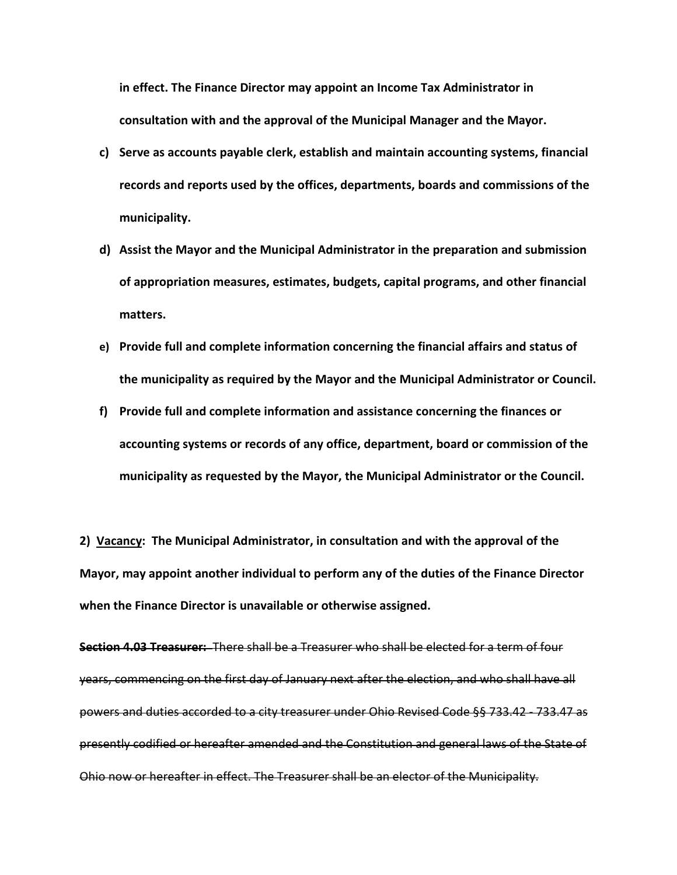**in effect. The Finance Director may appoint an Income Tax Administrator in consultation with and the approval of the Municipal Manager and the Mayor.**

- **c) Serve as accounts payable clerk, establish and maintain accounting systems, financial records and reports used by the offices, departments, boards and commissions of the municipality.**
- **d) Assist the Mayor and the Municipal Administrator in the preparation and submission of appropriation measures, estimates, budgets, capital programs, and other financial matters.**
- **e) Provide full and complete information concerning the financial affairs and status of the municipality as required by the Mayor and the Municipal Administrator or Council.**
- **f) Provide full and complete information and assistance concerning the finances or accounting systems or records of any office, department, board or commission of the municipality as requested by the Mayor, the Municipal Administrator or the Council.**

**2) Vacancy: The Municipal Administrator, in consultation and with the approval of the Mayor, may appoint another individual to perform any of the duties of the Finance Director when the Finance Director is unavailable or otherwise assigned.**

**Section 4.03 Treasurer:** There shall be a Treasurer who shall be elected for a term of four years, commencing on the first day of January next after the election, and who shall have all powers and duties accorded to a city treasurer under Ohio Revised Code §§ 733.42 - 733.47 as presently codified or hereafter amended and the Constitution and general laws of the State of Ohio now or hereafter in effect. The Treasurer shall be an elector of the Municipality.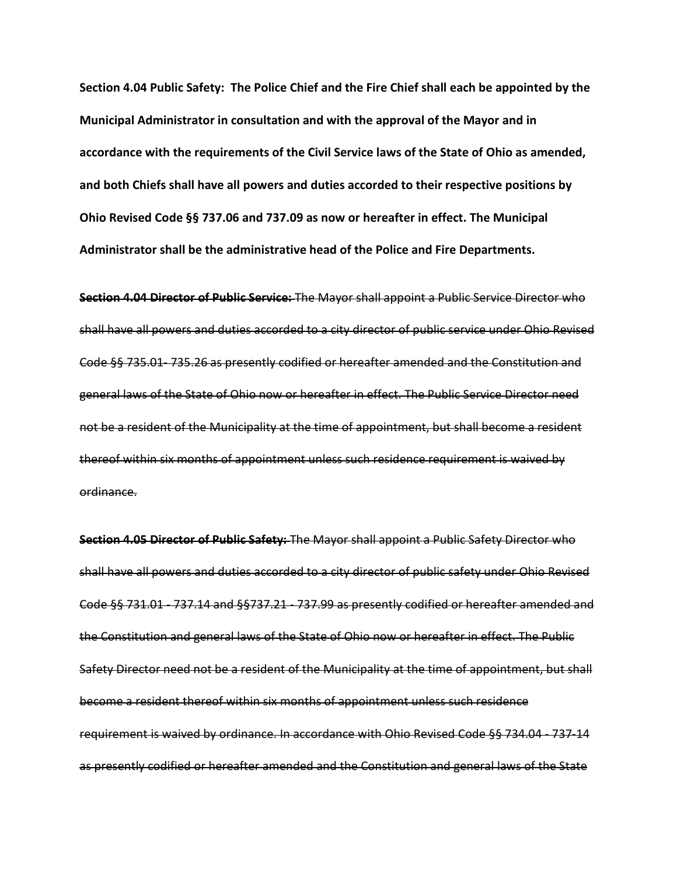**Section 4.04 Public Safety: The Police Chief and the Fire Chief shall each be appointed by the Municipal Administrator in consultation and with the approval of the Mayor and in accordance with the requirements of the Civil Service laws of the State of Ohio as amended, and both Chiefs shall have all powers and duties accorded to their respective positions by Ohio Revised Code §§ 737.06 and 737.09 as now or hereafter in effect. The Municipal Administrator shall be the administrative head of the Police and Fire Departments.**

**Section 4.04 Director of Public Service:** The Mayor shall appoint a Public Service Director who shall have all powers and duties accorded to a city director of public service under Ohio Revised Code §§ 735.01- 735.26 as presently codified or hereafter amended and the Constitution and general laws of the State of Ohio now or hereafter in effect. The Public Service Director need not be a resident of the Municipality at the time of appointment, but shall become a resident thereof within six months of appointment unless such residence requirement is waived by ordinance.

**Section 4.05 Director of Public Safety:** The Mayor shall appoint a Public Safety Director who shall have all powers and duties accorded to a city director of public safety under Ohio Revised Code §§ 731.01 - 737.14 and §§737.21 - 737.99 as presently codified or hereafter amended and the Constitution and general laws of the State of Ohio now or hereafter in effect. The Public Safety Director need not be a resident of the Municipality at the time of appointment, but shall become a resident thereof within six months of appointment unless such residence requirement is waived by ordinance. In accordance with Ohio Revised Code §§ 734.04 - 737-14 as presently codified or hereafter amended and the Constitution and general laws of the State